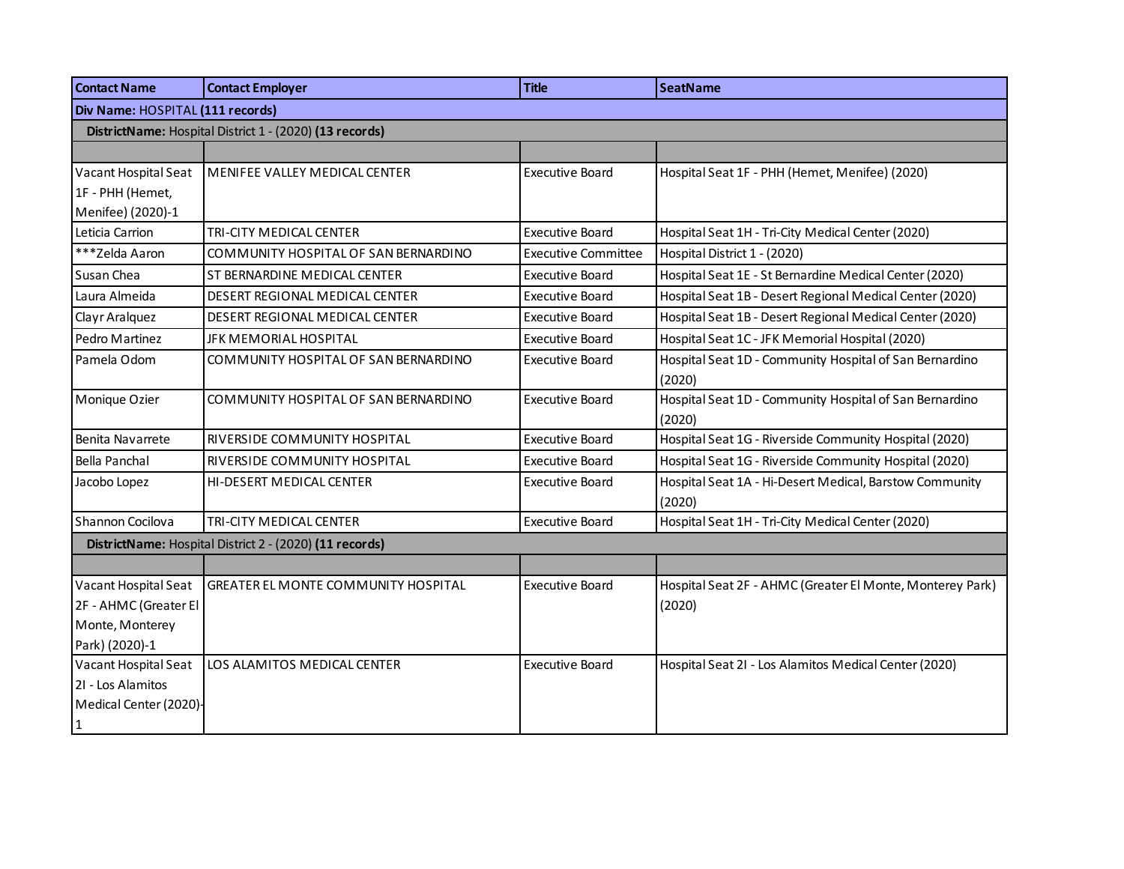| <b>Contact Name</b>              | <b>Contact Employer</b>                                 | <b>Title</b>               | <b>SeatName</b>                                           |  |
|----------------------------------|---------------------------------------------------------|----------------------------|-----------------------------------------------------------|--|
| Div Name: HOSPITAL (111 records) |                                                         |                            |                                                           |  |
|                                  | DistrictName: Hospital District 1 - (2020) (13 records) |                            |                                                           |  |
|                                  |                                                         |                            |                                                           |  |
| Vacant Hospital Seat             | MENIFEE VALLEY MEDICAL CENTER                           | <b>Executive Board</b>     | Hospital Seat 1F - PHH (Hemet, Menifee) (2020)            |  |
| 1F - PHH (Hemet,                 |                                                         |                            |                                                           |  |
| Menifee) (2020)-1                |                                                         |                            |                                                           |  |
| Leticia Carrion                  | TRI-CITY MEDICAL CENTER                                 | <b>Executive Board</b>     | Hospital Seat 1H - Tri-City Medical Center (2020)         |  |
| ***Zelda Aaron                   | COMMUNITY HOSPITAL OF SAN BERNARDINO                    | <b>Executive Committee</b> | Hospital District 1 - (2020)                              |  |
| Susan Chea                       | ST BERNARDINE MEDICAL CENTER                            | <b>Executive Board</b>     | Hospital Seat 1E - St Bernardine Medical Center (2020)    |  |
| Laura Almeida                    | DESERT REGIONAL MEDICAL CENTER                          | <b>Executive Board</b>     | Hospital Seat 1B - Desert Regional Medical Center (2020)  |  |
| Clayr Aralquez                   | DESERT REGIONAL MEDICAL CENTER                          | <b>Executive Board</b>     | Hospital Seat 1B - Desert Regional Medical Center (2020)  |  |
| Pedro Martinez                   | JFK MEMORIAL HOSPITAL                                   | <b>Executive Board</b>     | Hospital Seat 1C - JFK Memorial Hospital (2020)           |  |
| Pamela Odom                      | COMMUNITY HOSPITAL OF SAN BERNARDINO                    | <b>Executive Board</b>     | Hospital Seat 1D - Community Hospital of San Bernardino   |  |
|                                  |                                                         |                            | (2020)                                                    |  |
| Monique Ozier                    | COMMUNITY HOSPITAL OF SAN BERNARDINO                    | <b>Executive Board</b>     | Hospital Seat 1D - Community Hospital of San Bernardino   |  |
|                                  |                                                         |                            | (2020)                                                    |  |
| Benita Navarrete                 | RIVERSIDE COMMUNITY HOSPITAL                            | <b>Executive Board</b>     | Hospital Seat 1G - Riverside Community Hospital (2020)    |  |
| Bella Panchal                    | RIVERSIDE COMMUNITY HOSPITAL                            | <b>Executive Board</b>     | Hospital Seat 1G - Riverside Community Hospital (2020)    |  |
| Jacobo Lopez                     | HI-DESERT MEDICAL CENTER                                | <b>Executive Board</b>     | Hospital Seat 1A - Hi-Desert Medical, Barstow Community   |  |
|                                  |                                                         |                            | (2020)                                                    |  |
| Shannon Cocilova                 | TRI-CITY MEDICAL CENTER                                 | <b>Executive Board</b>     | Hospital Seat 1H - Tri-City Medical Center (2020)         |  |
|                                  | DistrictName: Hospital District 2 - (2020) (11 records) |                            |                                                           |  |
|                                  |                                                         |                            |                                                           |  |
| Vacant Hospital Seat             | GREATER EL MONTE COMMUNITY HOSPITAL                     | <b>Executive Board</b>     | Hospital Seat 2F - AHMC (Greater El Monte, Monterey Park) |  |
| 2F - AHMC (Greater El            |                                                         |                            | (2020)                                                    |  |
| Monte, Monterey                  |                                                         |                            |                                                           |  |
| Park) (2020)-1                   |                                                         |                            |                                                           |  |
| Vacant Hospital Seat             | LOS ALAMITOS MEDICAL CENTER                             | <b>Executive Board</b>     | Hospital Seat 2I - Los Alamitos Medical Center (2020)     |  |
| 21 - Los Alamitos                |                                                         |                            |                                                           |  |
| Medical Center (2020)-           |                                                         |                            |                                                           |  |
| $\mathbf{1}$                     |                                                         |                            |                                                           |  |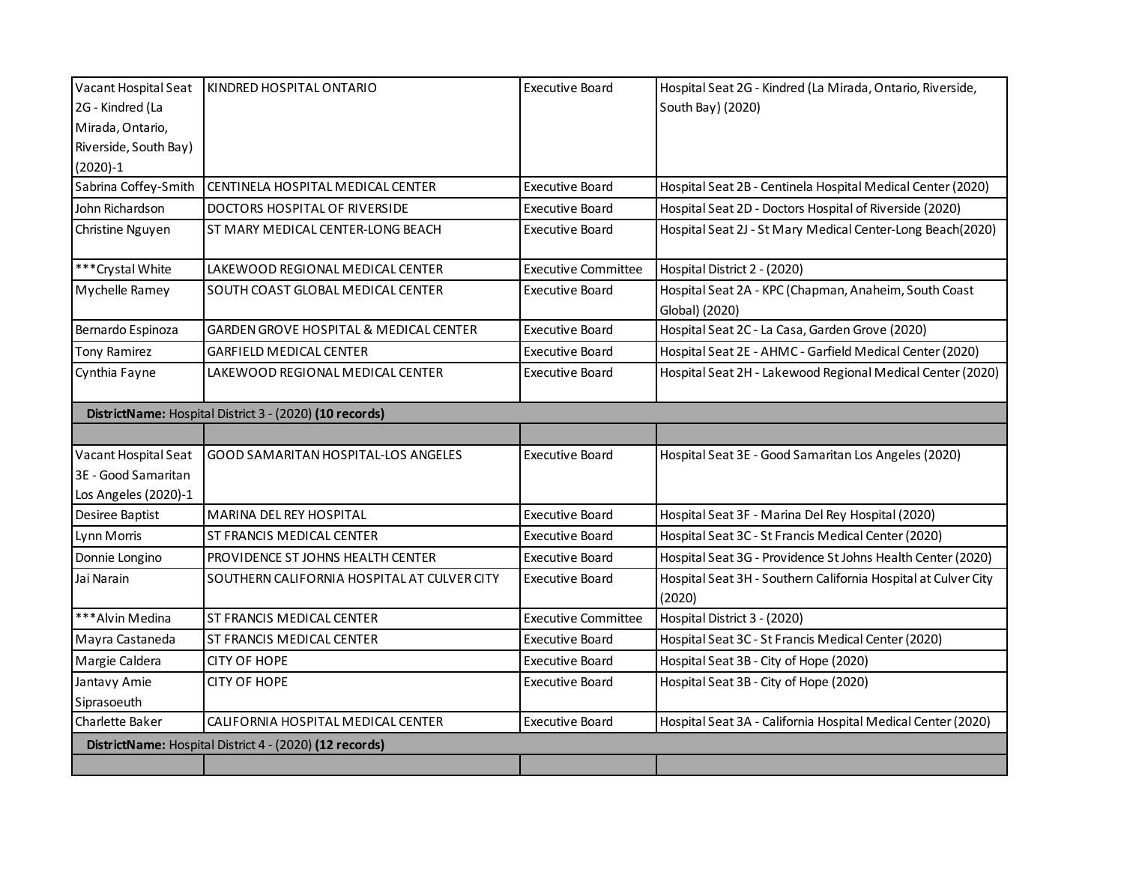| Vacant Hospital Seat                                    | KINDRED HOSPITAL ONTARIO                                | <b>Executive Board</b>     | Hospital Seat 2G - Kindred (La Mirada, Ontario, Riverside,               |
|---------------------------------------------------------|---------------------------------------------------------|----------------------------|--------------------------------------------------------------------------|
| 2G - Kindred (La                                        |                                                         |                            | South Bay) (2020)                                                        |
| Mirada, Ontario,                                        |                                                         |                            |                                                                          |
| Riverside, South Bay)                                   |                                                         |                            |                                                                          |
| $(2020)-1$                                              |                                                         |                            |                                                                          |
| Sabrina Coffey-Smith                                    | CENTINELA HOSPITAL MEDICAL CENTER                       | <b>Executive Board</b>     | Hospital Seat 2B - Centinela Hospital Medical Center (2020)              |
| John Richardson                                         | DOCTORS HOSPITAL OF RIVERSIDE                           | <b>Executive Board</b>     | Hospital Seat 2D - Doctors Hospital of Riverside (2020)                  |
| Christine Nguyen                                        | ST MARY MEDICAL CENTER-LONG BEACH                       | <b>Executive Board</b>     | Hospital Seat 2J - St Mary Medical Center-Long Beach(2020)               |
| *** Crystal White                                       | LAKEWOOD REGIONAL MEDICAL CENTER                        | <b>Executive Committee</b> | Hospital District 2 - (2020)                                             |
| Mychelle Ramey                                          | SOUTH COAST GLOBAL MEDICAL CENTER                       | <b>Executive Board</b>     | Hospital Seat 2A - KPC (Chapman, Anaheim, South Coast                    |
|                                                         |                                                         |                            | Global) (2020)                                                           |
| Bernardo Espinoza                                       | GARDEN GROVE HOSPITAL & MEDICAL CENTER                  | <b>Executive Board</b>     | Hospital Seat 2C - La Casa, Garden Grove (2020)                          |
| Tony Ramirez                                            | <b>GARFIELD MEDICAL CENTER</b>                          | <b>Executive Board</b>     | Hospital Seat 2E - AHMC - Garfield Medical Center (2020)                 |
| Cynthia Fayne                                           | LAKEWOOD REGIONAL MEDICAL CENTER                        | <b>Executive Board</b>     | Hospital Seat 2H - Lakewood Regional Medical Center (2020)               |
|                                                         | DistrictName: Hospital District 3 - (2020) (10 records) |                            |                                                                          |
|                                                         |                                                         |                            |                                                                          |
| Vacant Hospital Seat                                    | GOOD SAMARITAN HOSPITAL-LOS ANGELES                     | <b>Executive Board</b>     | Hospital Seat 3E - Good Samaritan Los Angeles (2020)                     |
| 3E - Good Samaritan                                     |                                                         |                            |                                                                          |
| Los Angeles (2020)-1                                    |                                                         |                            |                                                                          |
| Desiree Baptist                                         | MARINA DEL REY HOSPITAL                                 | <b>Executive Board</b>     | Hospital Seat 3F - Marina Del Rey Hospital (2020)                        |
| Lynn Morris                                             | ST FRANCIS MEDICAL CENTER                               | Executive Board            | Hospital Seat 3C - St Francis Medical Center (2020)                      |
| Donnie Longino                                          | PROVIDENCE ST JOHNS HEALTH CENTER                       | <b>Executive Board</b>     | Hospital Seat 3G - Providence St Johns Health Center (2020)              |
| Jai Narain                                              | SOUTHERN CALIFORNIA HOSPITAL AT CULVER CITY             | <b>Executive Board</b>     | Hospital Seat 3H - Southern California Hospital at Culver City<br>(2020) |
| ***Alvin Medina                                         | ST FRANCIS MEDICAL CENTER                               | <b>Executive Committee</b> | Hospital District 3 - (2020)                                             |
| Mayra Castaneda                                         | ST FRANCIS MEDICAL CENTER                               | <b>Executive Board</b>     | Hospital Seat 3C - St Francis Medical Center (2020)                      |
| Margie Caldera                                          | <b>CITY OF HOPE</b>                                     | <b>Executive Board</b>     | Hospital Seat 3B - City of Hope (2020)                                   |
| Jantavy Amie                                            | <b>CITY OF HOPE</b>                                     | <b>Executive Board</b>     | Hospital Seat 3B - City of Hope (2020)                                   |
| Siprasoeuth                                             |                                                         |                            |                                                                          |
| Charlette Baker                                         | CALIFORNIA HOSPITAL MEDICAL CENTER                      | <b>Executive Board</b>     | Hospital Seat 3A - California Hospital Medical Center (2020)             |
| DistrictName: Hospital District 4 - (2020) (12 records) |                                                         |                            |                                                                          |
|                                                         |                                                         |                            |                                                                          |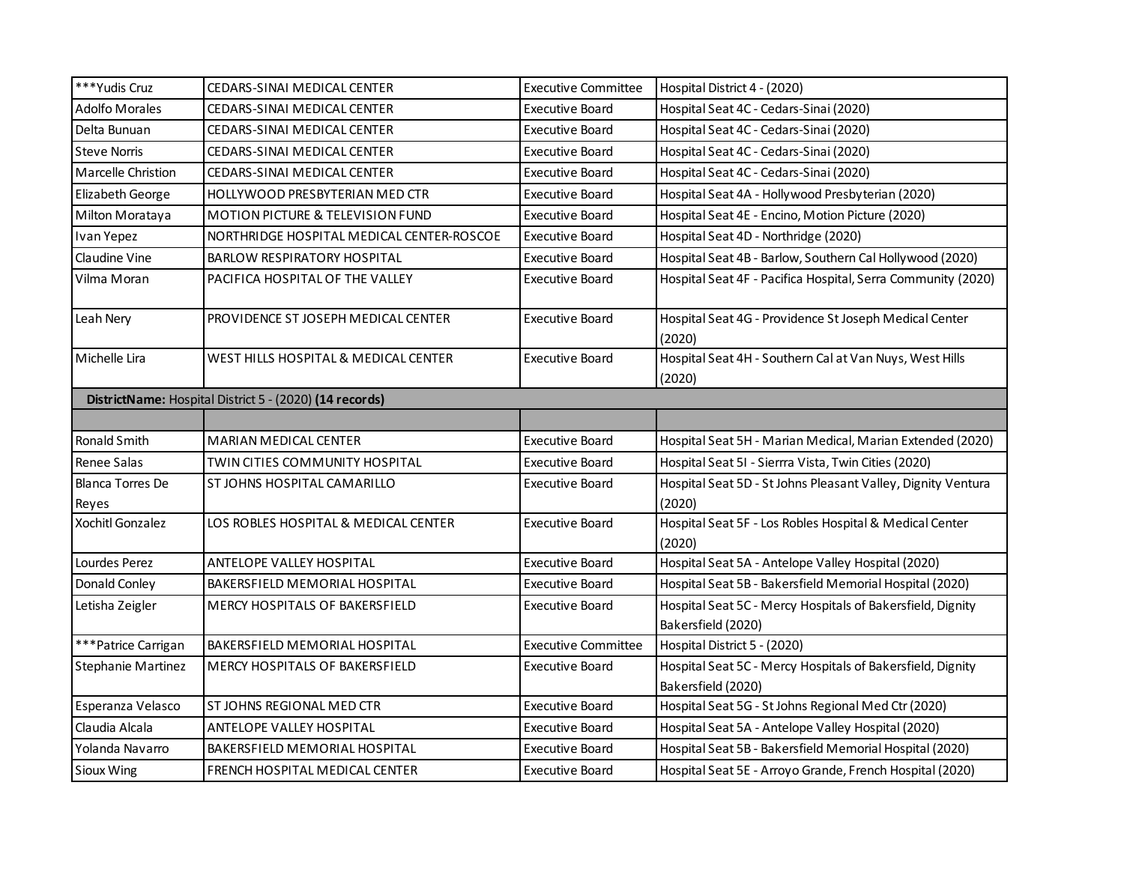| ***Yudis Cruz                                           | CEDARS-SINAI MEDICAL CENTER               | <b>Executive Committee</b> | Hospital District 4 - (2020)                                                     |  |
|---------------------------------------------------------|-------------------------------------------|----------------------------|----------------------------------------------------------------------------------|--|
| <b>Adolfo Morales</b>                                   | CEDARS-SINAI MEDICAL CENTER               | <b>Executive Board</b>     | Hospital Seat 4C - Cedars-Sinai (2020)                                           |  |
| Delta Bunuan                                            | CEDARS-SINAI MEDICAL CENTER               | <b>Executive Board</b>     | Hospital Seat 4C - Cedars-Sinai (2020)                                           |  |
| <b>Steve Norris</b>                                     | CEDARS-SINAI MEDICAL CENTER               | Executive Board            | Hospital Seat 4C - Cedars-Sinai (2020)                                           |  |
| <b>Marcelle Christion</b>                               | CEDARS-SINAI MEDICAL CENTER               | Executive Board            | Hospital Seat 4C - Cedars-Sinai (2020)                                           |  |
| Elizabeth George                                        | HOLLYWOOD PRESBYTERIAN MED CTR            | <b>Executive Board</b>     | Hospital Seat 4A - Hollywood Presbyterian (2020)                                 |  |
| Milton Morataya                                         | MOTION PICTURE & TELEVISION FUND          | <b>Executive Board</b>     | Hospital Seat 4E - Encino, Motion Picture (2020)                                 |  |
| Ivan Yepez                                              | NORTHRIDGE HOSPITAL MEDICAL CENTER-ROSCOE | <b>Executive Board</b>     | Hospital Seat 4D - Northridge (2020)                                             |  |
| Claudine Vine                                           | BARLOW RESPIRATORY HOSPITAL               | <b>Executive Board</b>     | Hospital Seat 4B - Barlow, Southern Cal Hollywood (2020)                         |  |
| Vilma Moran                                             | PACIFICA HOSPITAL OF THE VALLEY           | <b>Executive Board</b>     | Hospital Seat 4F - Pacifica Hospital, Serra Community (2020)                     |  |
| Leah Nery                                               | PROVIDENCE ST JOSEPH MEDICAL CENTER       | <b>Executive Board</b>     | Hospital Seat 4G - Providence St Joseph Medical Center<br>(2020)                 |  |
| Michelle Lira                                           | WEST HILLS HOSPITAL & MEDICAL CENTER      | Executive Board            | Hospital Seat 4H - Southern Cal at Van Nuys, West Hills<br>(2020)                |  |
| DistrictName: Hospital District 5 - (2020) (14 records) |                                           |                            |                                                                                  |  |
|                                                         |                                           |                            |                                                                                  |  |
| Ronald Smith                                            | MARIAN MEDICAL CENTER                     | <b>Executive Board</b>     | Hospital Seat 5H - Marian Medical, Marian Extended (2020)                        |  |
| Renee Salas                                             | TWIN CITIES COMMUNITY HOSPITAL            | <b>Executive Board</b>     | Hospital Seat 5I - Sierrra Vista, Twin Cities (2020)                             |  |
| <b>Blanca Torres De</b><br>Reyes                        | ST JOHNS HOSPITAL CAMARILLO               | Executive Board            | Hospital Seat 5D - St Johns Pleasant Valley, Dignity Ventura<br>(2020)           |  |
| Xochitl Gonzalez                                        | LOS ROBLES HOSPITAL & MEDICAL CENTER      | <b>Executive Board</b>     | Hospital Seat 5F - Los Robles Hospital & Medical Center<br>(2020)                |  |
| Lourdes Perez                                           | ANTELOPE VALLEY HOSPITAL                  | <b>Executive Board</b>     | Hospital Seat 5A - Antelope Valley Hospital (2020)                               |  |
| Donald Conley                                           | BAKERSFIELD MEMORIAL HOSPITAL             | <b>Executive Board</b>     | Hospital Seat 5B - Bakersfield Memorial Hospital (2020)                          |  |
| Letisha Zeigler                                         | MERCY HOSPITALS OF BAKERSFIELD            | Executive Board            | Hospital Seat 5C - Mercy Hospitals of Bakersfield, Dignity<br>Bakersfield (2020) |  |
| *** Patrice Carrigan                                    | BAKERSFIELD MEMORIAL HOSPITAL             | <b>Executive Committee</b> | Hospital District 5 - (2020)                                                     |  |
| <b>Stephanie Martinez</b>                               | <b>MERCY HOSPITALS OF BAKERSFIELD</b>     | <b>Executive Board</b>     | Hospital Seat 5C - Mercy Hospitals of Bakersfield, Dignity<br>Bakersfield (2020) |  |
| Esperanza Velasco                                       | ST JOHNS REGIONAL MED CTR                 | <b>Executive Board</b>     | Hospital Seat 5G - St Johns Regional Med Ctr (2020)                              |  |
| Claudia Alcala                                          | <b>ANTELOPE VALLEY HOSPITAL</b>           | Executive Board            | Hospital Seat 5A - Antelope Valley Hospital (2020)                               |  |
| Yolanda Navarro                                         | BAKERSFIELD MEMORIAL HOSPITAL             | <b>Executive Board</b>     | Hospital Seat 5B - Bakersfield Memorial Hospital (2020)                          |  |
| Sioux Wing                                              | FRENCH HOSPITAL MEDICAL CENTER            | <b>Executive Board</b>     | Hospital Seat 5E - Arroyo Grande, French Hospital (2020)                         |  |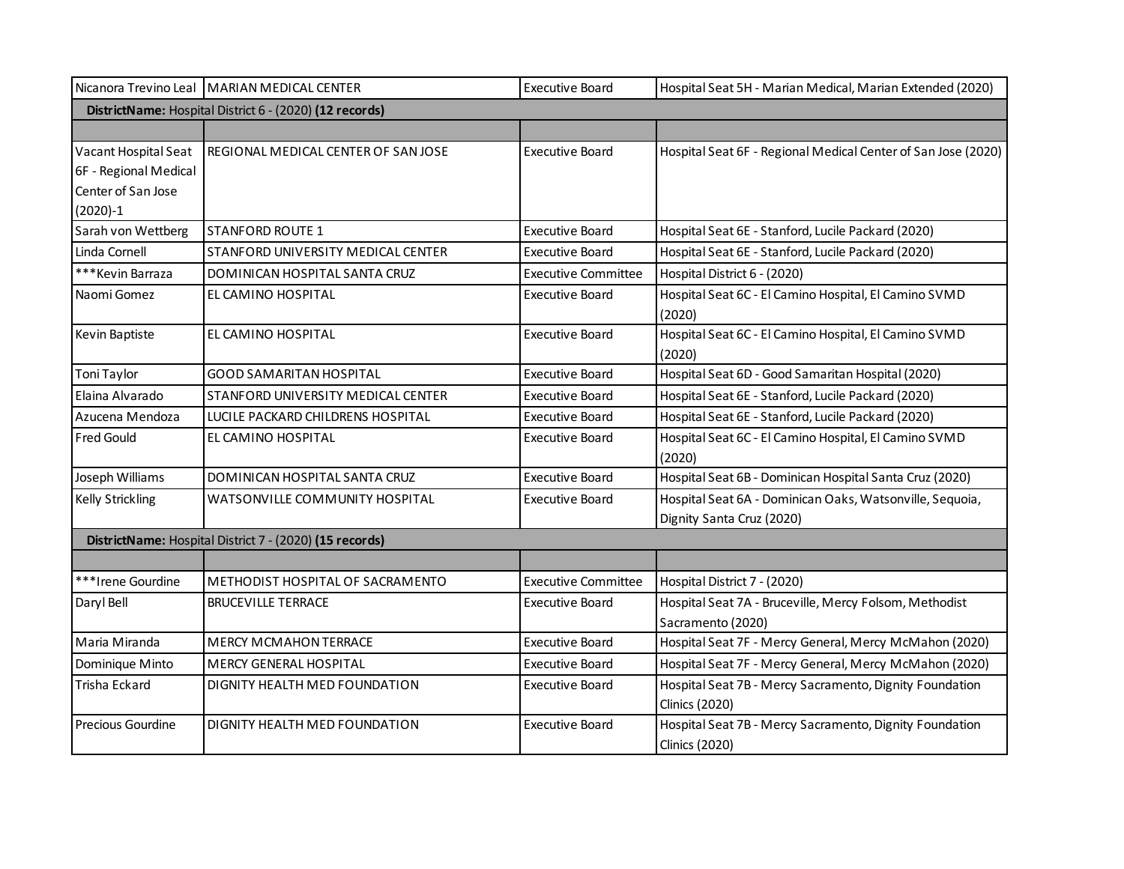|                       | Nicanora Trevino Leal   MARIAN MEDICAL CENTER           | <b>Executive Board</b>     | Hospital Seat 5H - Marian Medical, Marian Extended (2020)     |  |  |
|-----------------------|---------------------------------------------------------|----------------------------|---------------------------------------------------------------|--|--|
|                       | DistrictName: Hospital District 6 - (2020) (12 records) |                            |                                                               |  |  |
|                       |                                                         |                            |                                                               |  |  |
| Vacant Hospital Seat  | REGIONAL MEDICAL CENTER OF SAN JOSE                     | <b>Executive Board</b>     | Hospital Seat 6F - Regional Medical Center of San Jose (2020) |  |  |
| 6F - Regional Medical |                                                         |                            |                                                               |  |  |
| Center of San Jose    |                                                         |                            |                                                               |  |  |
| $(2020)-1$            |                                                         |                            |                                                               |  |  |
| Sarah von Wettberg    | <b>STANFORD ROUTE 1</b>                                 | <b>Executive Board</b>     | Hospital Seat 6E - Stanford, Lucile Packard (2020)            |  |  |
| Linda Cornell         | STANFORD UNIVERSITY MEDICAL CENTER                      | Executive Board            | Hospital Seat 6E - Stanford, Lucile Packard (2020)            |  |  |
| *** Kevin Barraza     | DOMINICAN HOSPITAL SANTA CRUZ                           | <b>Executive Committee</b> | Hospital District 6 - (2020)                                  |  |  |
| Naomi Gomez           | EL CAMINO HOSPITAL                                      | <b>Executive Board</b>     | Hospital Seat 6C - El Camino Hospital, El Camino SVMD         |  |  |
|                       |                                                         |                            | (2020)                                                        |  |  |
| Kevin Baptiste        | EL CAMINO HOSPITAL                                      | <b>Executive Board</b>     | Hospital Seat 6C - El Camino Hospital, El Camino SVMD         |  |  |
|                       |                                                         |                            | (2020)                                                        |  |  |
| Toni Taylor           | <b>GOOD SAMARITAN HOSPITAL</b>                          | <b>Executive Board</b>     | Hospital Seat 6D - Good Samaritan Hospital (2020)             |  |  |
| Elaina Alvarado       | STANFORD UNIVERSITY MEDICAL CENTER                      | <b>Executive Board</b>     | Hospital Seat 6E - Stanford, Lucile Packard (2020)            |  |  |
| Azucena Mendoza       | LUCILE PACKARD CHILDRENS HOSPITAL                       | <b>Executive Board</b>     | Hospital Seat 6E - Stanford, Lucile Packard (2020)            |  |  |
| Fred Gould            | EL CAMINO HOSPITAL                                      | <b>Executive Board</b>     | Hospital Seat 6C - El Camino Hospital, El Camino SVMD         |  |  |
|                       |                                                         |                            | (2020)                                                        |  |  |
| Joseph Williams       | DOMINICAN HOSPITAL SANTA CRUZ                           | <b>Executive Board</b>     | Hospital Seat 6B - Dominican Hospital Santa Cruz (2020)       |  |  |
| Kelly Strickling      | WATSONVILLE COMMUNITY HOSPITAL                          | <b>Executive Board</b>     | Hospital Seat 6A - Dominican Oaks, Watsonville, Sequoia,      |  |  |
|                       |                                                         |                            | Dignity Santa Cruz (2020)                                     |  |  |
|                       | DistrictName: Hospital District 7 - (2020) (15 records) |                            |                                                               |  |  |
|                       |                                                         |                            |                                                               |  |  |
| ***Irene Gourdine     | METHODIST HOSPITAL OF SACRAMENTO                        | <b>Executive Committee</b> | Hospital District 7 - (2020)                                  |  |  |
| Daryl Bell            | <b>BRUCEVILLE TERRACE</b>                               | <b>Executive Board</b>     | Hospital Seat 7A - Bruceville, Mercy Folsom, Methodist        |  |  |
|                       |                                                         |                            | Sacramento (2020)                                             |  |  |
| Maria Miranda         | <b>MERCY MCMAHON TERRACE</b>                            | <b>Executive Board</b>     | Hospital Seat 7F - Mercy General, Mercy McMahon (2020)        |  |  |
| Dominique Minto       | <b>MERCY GENERAL HOSPITAL</b>                           | <b>Executive Board</b>     | Hospital Seat 7F - Mercy General, Mercy McMahon (2020)        |  |  |
| Trisha Eckard         | DIGNITY HEALTH MED FOUNDATION                           | Executive Board            | Hospital Seat 7B - Mercy Sacramento, Dignity Foundation       |  |  |
|                       |                                                         |                            | Clinics (2020)                                                |  |  |
| Precious Gourdine     | DIGNITY HEALTH MED FOUNDATION                           | <b>Executive Board</b>     | Hospital Seat 7B - Mercy Sacramento, Dignity Foundation       |  |  |
|                       |                                                         |                            | <b>Clinics (2020)</b>                                         |  |  |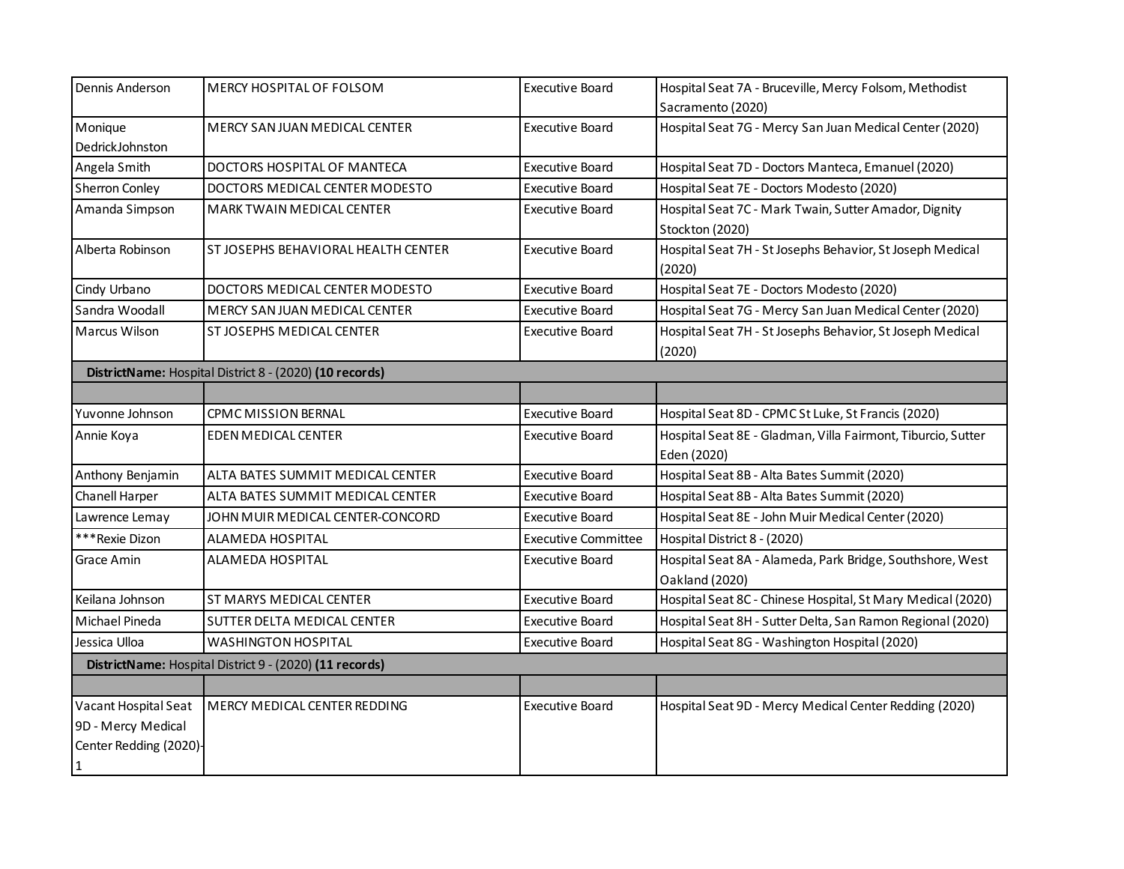| Dennis Anderson                                                           | MERCY HOSPITAL OF FOLSOM                                | <b>Executive Board</b>     | Hospital Seat 7A - Bruceville, Mercy Folsom, Methodist                      |
|---------------------------------------------------------------------------|---------------------------------------------------------|----------------------------|-----------------------------------------------------------------------------|
|                                                                           |                                                         |                            | Sacramento (2020)                                                           |
| Monique                                                                   | MERCY SAN JUAN MEDICAL CENTER                           | <b>Executive Board</b>     | Hospital Seat 7G - Mercy San Juan Medical Center (2020)                     |
| DedrickJohnston                                                           |                                                         |                            |                                                                             |
| Angela Smith                                                              | DOCTORS HOSPITAL OF MANTECA                             | <b>Executive Board</b>     | Hospital Seat 7D - Doctors Manteca, Emanuel (2020)                          |
| Sherron Conley                                                            | DOCTORS MEDICAL CENTER MODESTO                          | <b>Executive Board</b>     | Hospital Seat 7E - Doctors Modesto (2020)                                   |
| Amanda Simpson                                                            | MARK TWAIN MEDICAL CENTER                               | <b>Executive Board</b>     | Hospital Seat 7C - Mark Twain, Sutter Amador, Dignity<br>Stockton (2020)    |
| Alberta Robinson                                                          | ST JOSEPHS BEHAVIORAL HEALTH CENTER                     | <b>Executive Board</b>     | Hospital Seat 7H - St Josephs Behavior, St Joseph Medical<br>(2020)         |
| Cindy Urbano                                                              | DOCTORS MEDICAL CENTER MODESTO                          | <b>Executive Board</b>     | Hospital Seat 7E - Doctors Modesto (2020)                                   |
| Sandra Woodall                                                            | MERCY SAN JUAN MEDICAL CENTER                           | <b>Executive Board</b>     | Hospital Seat 7G - Mercy San Juan Medical Center (2020)                     |
| Marcus Wilson                                                             | ST JOSEPHS MEDICAL CENTER                               | <b>Executive Board</b>     | Hospital Seat 7H - St Josephs Behavior, St Joseph Medical<br>(2020)         |
|                                                                           | DistrictName: Hospital District 8 - (2020) (10 records) |                            |                                                                             |
|                                                                           |                                                         |                            |                                                                             |
| Yuvonne Johnson                                                           | <b>CPMC MISSION BERNAL</b>                              | <b>Executive Board</b>     | Hospital Seat 8D - CPMC St Luke, St Francis (2020)                          |
| Annie Koya                                                                | <b>EDEN MEDICAL CENTER</b>                              | <b>Executive Board</b>     | Hospital Seat 8E - Gladman, Villa Fairmont, Tiburcio, Sutter<br>Eden (2020) |
| Anthony Benjamin                                                          | ALTA BATES SUMMIT MEDICAL CENTER                        | <b>Executive Board</b>     | Hospital Seat 8B - Alta Bates Summit (2020)                                 |
| Chanell Harper                                                            | ALTA BATES SUMMIT MEDICAL CENTER                        | <b>Executive Board</b>     | Hospital Seat 8B - Alta Bates Summit (2020)                                 |
| Lawrence Lemay                                                            | JOHN MUIR MEDICAL CENTER-CONCORD                        | <b>Executive Board</b>     | Hospital Seat 8E - John Muir Medical Center (2020)                          |
| ***Rexie Dizon                                                            | <b>ALAMEDA HOSPITAL</b>                                 | <b>Executive Committee</b> | Hospital District 8 - (2020)                                                |
| Grace Amin                                                                | ALAMEDA HOSPITAL                                        | Executive Board            | Hospital Seat 8A - Alameda, Park Bridge, Southshore, West<br>Oakland (2020) |
| Keilana Johnson                                                           | ST MARYS MEDICAL CENTER                                 | <b>Executive Board</b>     | Hospital Seat 8C - Chinese Hospital, St Mary Medical (2020)                 |
| Michael Pineda                                                            | SUTTER DELTA MEDICAL CENTER                             | <b>Executive Board</b>     | Hospital Seat 8H - Sutter Delta, San Ramon Regional (2020)                  |
| Jessica Ulloa                                                             | WASHINGTON HOSPITAL                                     | Executive Board            | Hospital Seat 8G - Washington Hospital (2020)                               |
|                                                                           | DistrictName: Hospital District 9 - (2020) (11 records) |                            |                                                                             |
|                                                                           |                                                         |                            |                                                                             |
| Vacant Hospital Seat<br>9D - Mercy Medical<br>Center Redding (2020)-<br>1 | MERCY MEDICAL CENTER REDDING                            | <b>Executive Board</b>     | Hospital Seat 9D - Mercy Medical Center Redding (2020)                      |